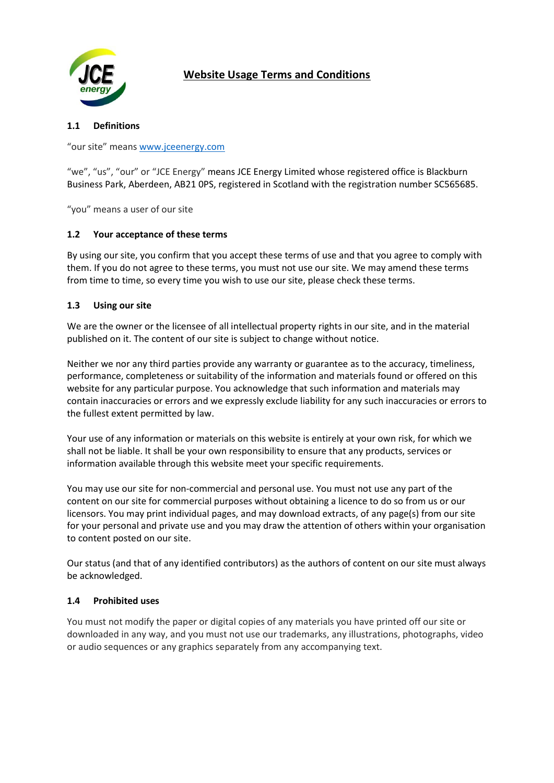

# **Website Usage Terms and Conditions**

## **1.1 Definitions**

"our site" means [www.jceenergy.com](http://www.jceenergy.com/)

"we", "us", "our" or "JCE Energy" means JCE Energy Limited whose registered office is Blackburn Business Park, Aberdeen, AB21 0PS, registered in Scotland with the registration number SC565685.

"you" means a user of our site

## **1.2 Your acceptance of these terms**

By using our site, you confirm that you accept these terms of use and that you agree to comply with them. If you do not agree to these terms, you must not use our site. We may amend these terms from time to time, so every time you wish to use our site, please check these terms.

#### **1.3 Using our site**

We are the owner or the licensee of all intellectual property rights in our site, and in the material published on it. The content of our site is subject to change without notice.

Neither we nor any third parties provide any warranty or guarantee as to the accuracy, timeliness, performance, completeness or suitability of the information and materials found or offered on this website for any particular purpose. You acknowledge that such information and materials may contain inaccuracies or errors and we expressly exclude liability for any such inaccuracies or errors to the fullest extent permitted by law.

Your use of any information or materials on this website is entirely at your own risk, for which we shall not be liable. It shall be your own responsibility to ensure that any products, services or information available through this website meet your specific requirements.

You may use our site for non-commercial and personal use. You must not use any part of the content on our site for commercial purposes without obtaining a licence to do so from us or our licensors. You may print individual pages, and may download extracts, of any page(s) from our site for your personal and private use and you may draw the attention of others within your organisation to content posted on our site.

Our status (and that of any identified contributors) as the authors of content on our site must always be acknowledged.

## **1.4 Prohibited uses**

You must not modify the paper or digital copies of any materials you have printed off our site or downloaded in any way, and you must not use our trademarks, any illustrations, photographs, video or audio sequences or any graphics separately from any accompanying text.